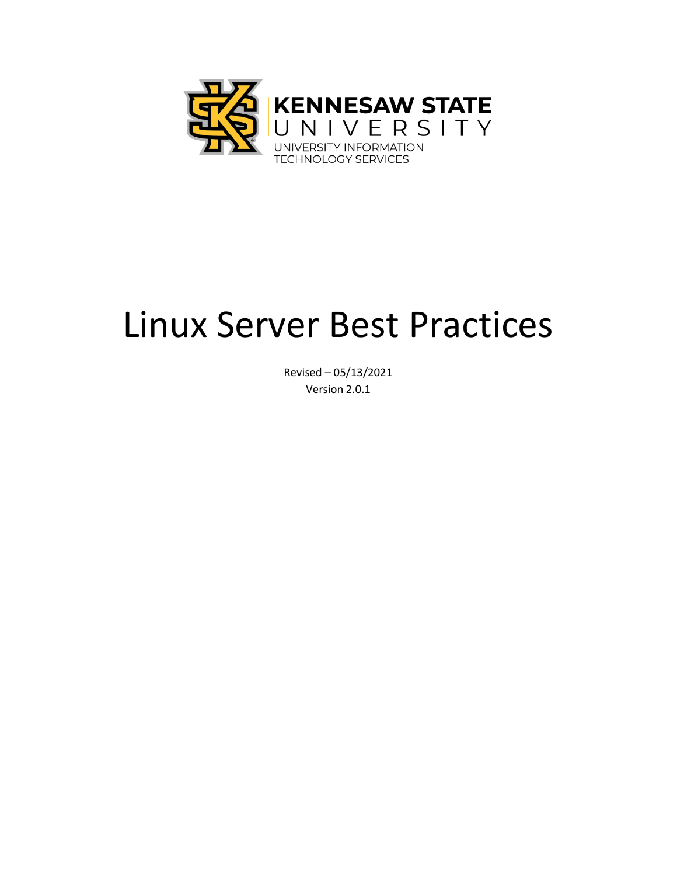

# Linux Server Best Practices

Revised – 05/13/2021 Version 2.0.1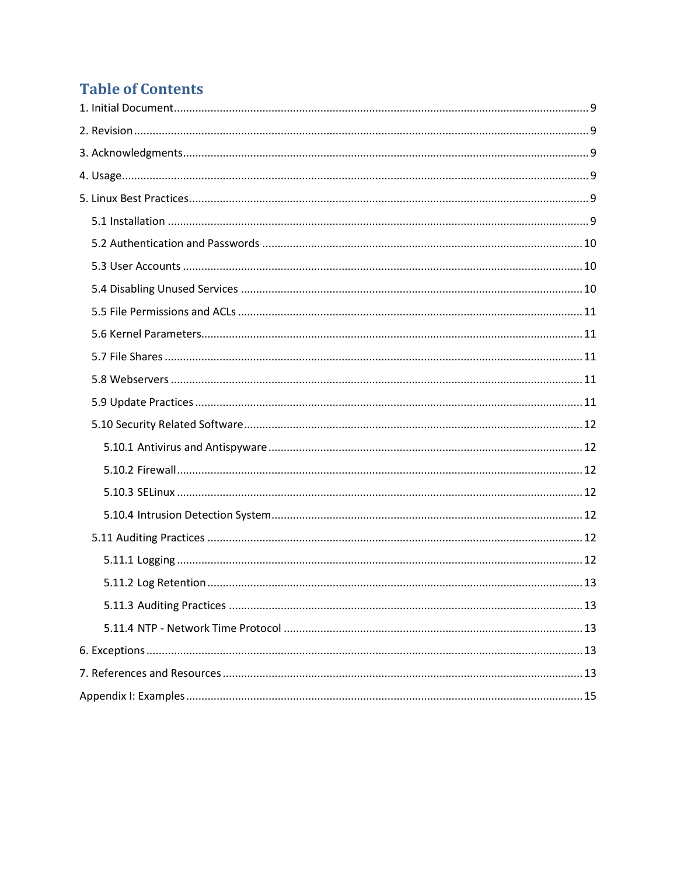## **Table of Contents**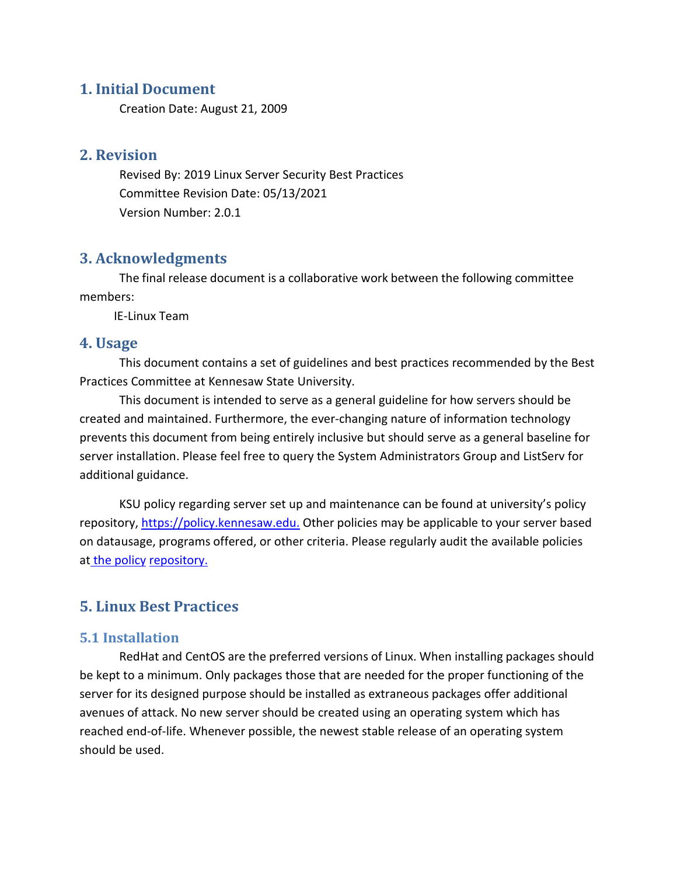#### <span id="page-2-0"></span>**1. Initial Document**

Creation Date: August 21, 2009

#### <span id="page-2-1"></span>**2. Revision**

Revised By: 2019 Linux Server Security Best Practices Committee Revision Date: 05/13/2021 Version Number: 2.0.1

#### <span id="page-2-2"></span>**3. Acknowledgments**

The final release document is a collaborative work between the following committee members:

IE-Linux Team

#### <span id="page-2-3"></span>**4. Usage**

This document contains a set of guidelines and best practices recommended by the Best Practices Committee at Kennesaw State University.

This document is intended to serve as a general guideline for how servers should be created and maintained. Furthermore, the ever-changing nature of information technology prevents this document from being entirely inclusive but should serve as a general baseline for server installation. Please feel free to query the System Administrators Group and ListServ for additional guidance.

KSU policy regarding server set up and maintenance can be found at university's policy repository, [https://policy.kennesaw.edu.](https://policy.kennesaw.edu/) Other policies may be applicable to your server based on datausage, programs offered, or other criteria. Please regularly audit the available policies at the policy repository.

#### <span id="page-2-5"></span><span id="page-2-4"></span>**5. Linux Best Practices**

#### **5.1 Installation**

RedHat and CentOS are the preferred versions of Linux. When installing packages should be kept to a minimum. Only packages those that are needed for the proper functioning of the server for its designed purpose should be installed as extraneous packages offer additional avenues of attack. No new server should be created using an operating system which has reached end-of-life. Whenever possible, the newest stable release of an operating system should be used.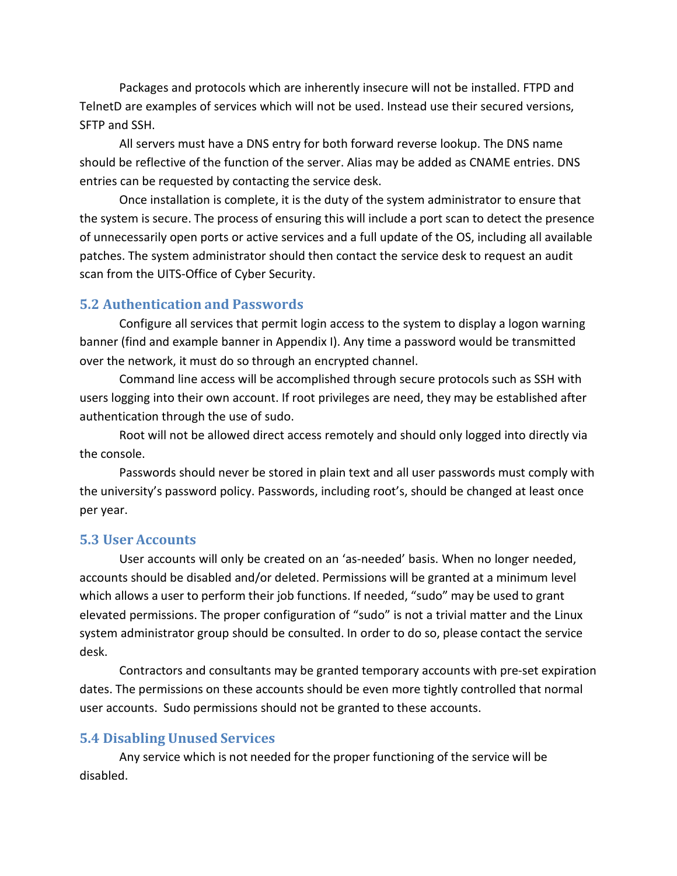Packages and protocols which are inherently insecure will not be installed. FTPD and TelnetD are examples of services which will not be used. Instead use their secured versions, SFTP and SSH.

All servers must have a DNS entry for both forward reverse lookup. The DNS name should be reflective of the function of the server. Alias may be added as CNAME entries. DNS entries can be requested by contacting the service desk.

Once installation is complete, it is the duty of the system administrator to ensure that the system is secure. The process of ensuring this will include a port scan to detect the presence of unnecessarily open ports or active services and a full update of the OS, including all available patches. The system administrator should then contact the service desk to request an audit scan from the UITS-Office of Cyber Security.

#### <span id="page-3-0"></span>**5.2 Authentication and Passwords**

Configure all services that permit login access to the system to display a logon warning banner (find and example banner in Appendix I). Any time a password would be transmitted over the network, it must do so through an encrypted channel.

Command line access will be accomplished through secure protocols such as SSH with users logging into their own account. If root privileges are need, they may be established after authentication through the use of sudo.

Root will not be allowed direct access remotely and should only logged into directly via the console.

Passwords should never be stored in plain text and all user passwords must comply with the university's password policy. Passwords, including root's, should be changed at least once per year.

#### <span id="page-3-1"></span>**5.3 User Accounts**

User accounts will only be created on an 'as-needed' basis. When no longer needed, accounts should be disabled and/or deleted. Permissions will be granted at a minimum level which allows a user to perform their job functions. If needed, "sudo" may be used to grant elevated permissions. The proper configuration of "sudo" is not a trivial matter and the Linux system administrator group should be consulted. In order to do so, please contact the service desk.

Contractors and consultants may be granted temporary accounts with pre-set expiration dates. The permissions on these accounts should be even more tightly controlled that normal user accounts. Sudo permissions should not be granted to these accounts.

#### <span id="page-3-2"></span>**5.4 Disabling Unused Services**

Any service which is not needed for the proper functioning of the service will be disabled.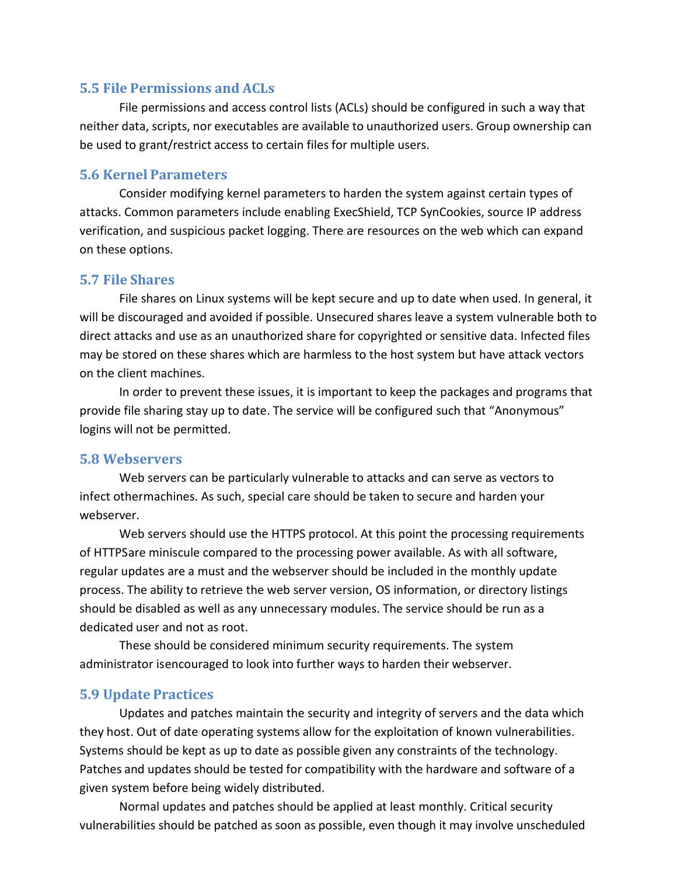#### <span id="page-4-0"></span>**5.5 File Permissions and ACLs**

File permissions and access control lists (ACLs) should be configured in such a way that neither data, scripts, nor executables are available to unauthorized users. Group ownership can be used to grant/restrict access to certain files for multiple users.

#### <span id="page-4-1"></span>**5.6 Kernel Parameters**

Consider modifying kernel parameters to harden the system against certain types of attacks. Common parameters include enabling ExecShield, TCP SynCookies, source IP address verification, and suspicious packet logging. There are resources on the web which can expand on these options.

#### <span id="page-4-2"></span>**5.7 File Shares**

File shares on Linux systems will be kept secure and up to date when used. In general, it will be discouraged and avoided if possible. Unsecured shares leave a system vulnerable both to direct attacks and use as an unauthorized share for copyrighted or sensitive data. Infected files may be stored on these shares which are harmless to the host system but have attack vectors on the client machines.

In order to prevent these issues, it is important to keep the packages and programs that provide file sharing stay up to date. The service will be configured such that "Anonymous" logins will not be permitted.

#### <span id="page-4-3"></span>**5.8 Webservers**

Web servers can be particularly vulnerable to attacks and can serve as vectors to infect othermachines. As such, special care should be taken to secure and harden your webserver.

Web servers should use the HTTPS protocol. At this point the processing requirements of HTTPSare miniscule compared to the processing power available. As with all software, regular updates are a must and the webserver should be included in the monthly update process. The ability to retrieve the web server version, OS information, or directory listings should be disabled as well as any unnecessary modules. The service should be run as a dedicated user and not as root.

These should be considered minimum security requirements. The system administrator isencouraged to look into further ways to harden their webserver.

#### <span id="page-4-4"></span>**5.9 Update Practices**

Updates and patches maintain the security and integrity of servers and the data which they host. Out of date operating systems allow for the exploitation of known vulnerabilities. Systems should be kept as up to date as possible given any constraints of the technology. Patches and updates should be tested for compatibility with the hardware and software of a given system before being widely distributed.

Normal updates and patches should be applied at least monthly. Critical security vulnerabilities should be patched as soon as possible, even though it may involve unscheduled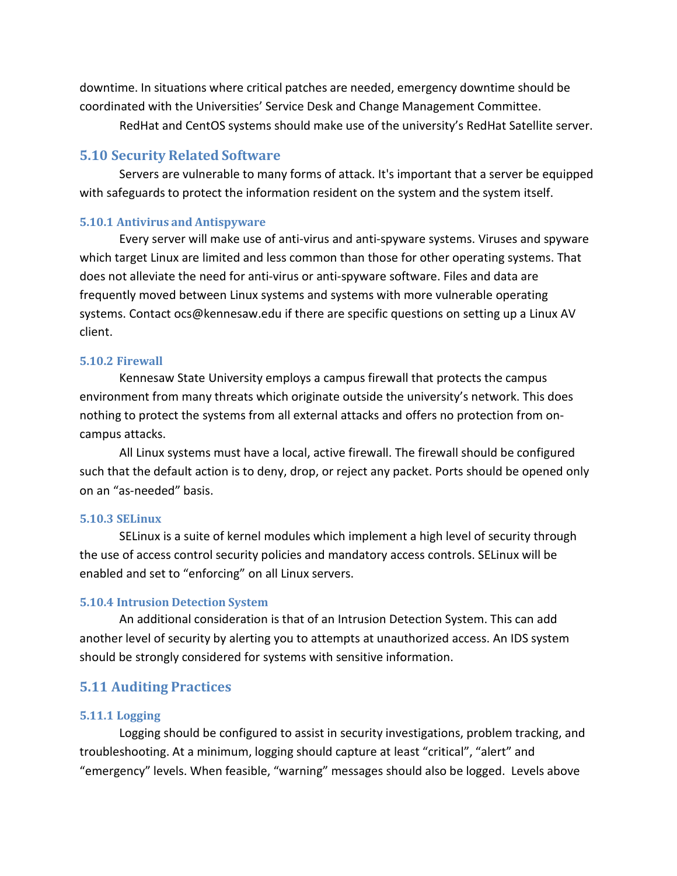downtime. In situations where critical patches are needed, emergency downtime should be coordinated with the Universities' Service Desk and Change Management Committee.

RedHat and CentOS systems should make use of the university's RedHat Satellite server.

#### <span id="page-5-0"></span>**5.10 Security Related Software**

Servers are vulnerable to many forms of attack. It's important that a server be equipped with safeguards to protect the information resident on the system and the system itself.

#### <span id="page-5-1"></span>**5.10.1 Antivirus and Antispyware**

Every server will make use of anti-virus and anti-spyware systems. Viruses and spyware which target Linux are limited and less common than those for other operating systems. That does not alleviate the need for anti-virus or anti-spyware software. Files and data are frequently moved between Linux systems and systems with more vulnerable operating systems. Contact [ocs@kennesaw.edu i](mailto:ocs@kennesaw.edu)f there are specific questions on setting up a Linux AV client.

#### <span id="page-5-2"></span>**5.10.2 Firewall**

Kennesaw State University employs a campus firewall that protects the campus environment from many threats which originate outside the university's network. This does nothing to protect the systems from all external attacks and offers no protection from oncampus attacks.

All Linux systems must have a local, active firewall. The firewall should be configured such that the default action is to deny, drop, or reject any packet. Ports should be opened only on an "as-needed" basis.

#### <span id="page-5-3"></span>**5.10.3 SELinux**

SELinux is a suite of kernel modules which implement a high level of security through the use of access control security policies and mandatory access controls. SELinux will be enabled and set to "enforcing" on all Linux servers.

#### <span id="page-5-4"></span>**5.10.4 Intrusion Detection System**

An additional consideration is that of an Intrusion Detection System. This can add another level of security by alerting you to attempts at unauthorized access. An IDS system should be strongly considered for systems with sensitive information.

#### <span id="page-5-6"></span><span id="page-5-5"></span>**5.11 Auditing Practices**

#### **5.11.1 Logging**

Logging should be configured to assist in security investigations, problem tracking, and troubleshooting. At a minimum, logging should capture at least "critical", "alert" and "emergency" levels. When feasible, "warning" messages should also be logged. Levels above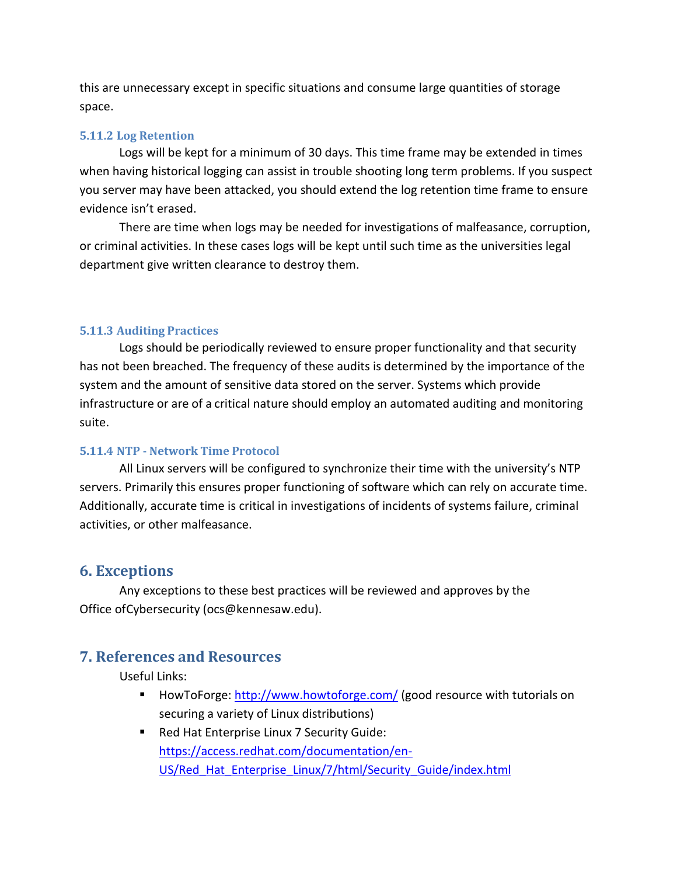this are unnecessary except in specific situations and consume large quantities of storage space.

#### <span id="page-6-0"></span>**5.11.2 Log Retention**

Logs will be kept for a minimum of 30 days. This time frame may be extended in times when having historical logging can assist in trouble shooting long term problems. If you suspect you server may have been attacked, you should extend the log retention time frame to ensure evidence isn't erased.

There are time when logs may be needed for investigations of malfeasance, corruption, or criminal activities. In these cases logs will be kept until such time as the universities legal department give written clearance to destroy them.

#### <span id="page-6-1"></span>**5.11.3 Auditing Practices**

Logs should be periodically reviewed to ensure proper functionality and that security has not been breached. The frequency of these audits is determined by the importance of the system and the amount of sensitive data stored on the server. Systems which provide infrastructure or are of a critical nature should employ an automated auditing and monitoring suite.

#### <span id="page-6-2"></span>**5.11.4 NTP - Network Time Protocol**

All Linux servers will be configured to synchronize their time with the university's NTP servers. Primarily this ensures proper functioning of software which can rely on accurate time. Additionally, accurate time is critical in investigations of incidents of systems failure, criminal activities, or other malfeasance.

#### <span id="page-6-3"></span>**6. Exceptions**

Any exceptions to these best practices will be reviewed and approves by the Office ofCybersecurity (ocs@kennesaw.edu).

#### <span id="page-6-4"></span>**7. References and Resources**

Useful Links:

- HowToForge: <http://www.howtoforge.com/> (good resource with tutorials on securing a variety of Linux distributions)
- Red Hat Enterprise Linux 7 Security Guide: [https://access.redhat.com/documentation/en-](https://access.redhat.com/documentation/en-US/Red_Hat_Enterprise_Linux/7/html/Security_Guide/index.html)[US/Red\\_Hat\\_Enterprise\\_Linux/7/html/Security\\_Guide/index.html](https://access.redhat.com/documentation/en-US/Red_Hat_Enterprise_Linux/7/html/Security_Guide/index.html)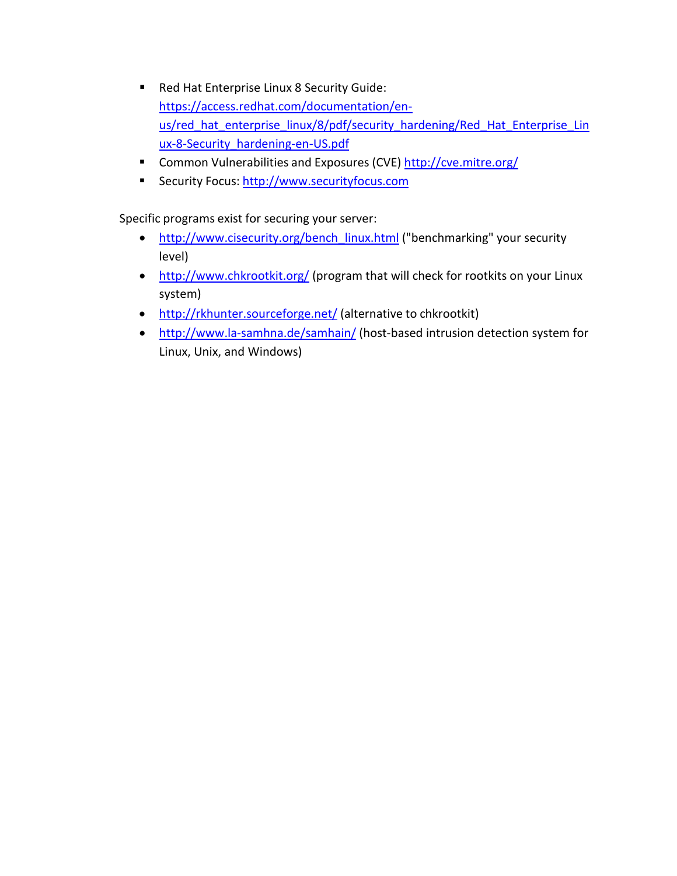- Red Hat Enterprise Linux 8 Security Guide: [https://access.redhat.com/documentation/en](https://access.redhat.com/documentation/en-us/red_hat_enterprise_linux/8/pdf/security_hardening/Red_Hat_Enterprise_Linux-8-Security_hardening-en-US.pdf)[us/red\\_hat\\_enterprise\\_linux/8/pdf/security\\_hardening/Red\\_Hat\\_Enterprise\\_Lin](https://access.redhat.com/documentation/en-us/red_hat_enterprise_linux/8/pdf/security_hardening/Red_Hat_Enterprise_Linux-8-Security_hardening-en-US.pdf) [ux-8-Security\\_hardening-en-US.pdf](https://access.redhat.com/documentation/en-us/red_hat_enterprise_linux/8/pdf/security_hardening/Red_Hat_Enterprise_Linux-8-Security_hardening-en-US.pdf)
- Common Vulnerabilities and Exposures (CVE) <http://cve.mitre.org/>
- Security Focus: [http://www.securityfocus.com](http://www.securityfocus.com/)

Specific programs exist for securing your server:

- [http://www.cisecurity.org/bench\\_linux.html](http://www.cisecurity.org/bench_linux.html) ("benchmarking" your security level)
- <http://www.chkrootkit.org/> (program that will check for rootkits on your Linux system)
- <http://rkhunter.sourceforge.net/> (alternative to chkrootkit)
- <http://www.la-samhna.de/samhain/> (host-based intrusion detection system for Linux, Unix, and Windows)